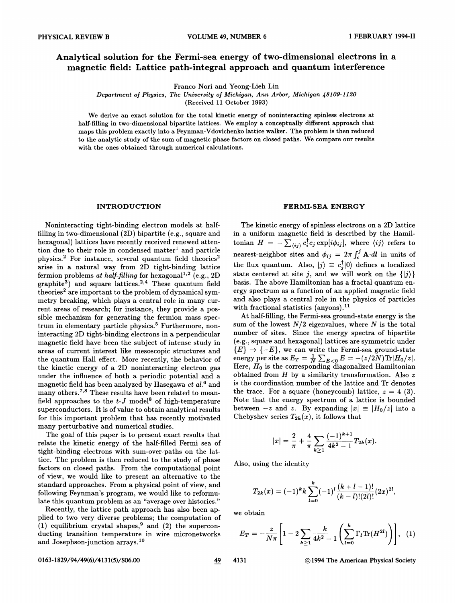# Analytical solution for the Fermi-sea energy of two-dimensional electrons in a magnetic Beld: Lattice path-integral approach and quantum interference

Franco Nori and Yeong-Lich Lin

Department of Physics, The University of Michigan, Ann Arbor, Michigan 48109-1120

(Received 11 October 1993)

We derive an exact solution for the total kinetic energy of noninteracting spinless electrons at half-filling in two-dimensional bipartite lattices. We employ a conceptually different approach that maps this problem exactly into a Feynman-Vdovichenko lattice walker. The problem is then reduced to the analytic study of the sum of magnetic phase factors on closed paths. We compare our results with the ones obtained through numerical calculations.

Noninteracting tight-binding electron models at halffilling in two-dimensional (2D) bipartite (e.g., square and hexagonal) lattices have recently received renewed attention due to their role in condensed matter<sup>1</sup> and particle physics.<sup>2</sup> For instance, several quantum field theories<sup>2</sup> arise in a natural way from 2D tight-binding lattice fermion problems at half-filling for hexagonal<sup>1,2</sup> (e.g., 2D) graphite<sup>3</sup>) and square lattices.<sup>2,4</sup> These quantum field theories<sup>2</sup> are important to the problem of dynamical symmetry breaking, which plays a central role in many current areas of research; for instance, they provide a possible mechanism for generating the fermion mass spectrum in elementary particle physics.<sup>5</sup> Furthermore, noninteracting 2D tight-binding electrons in a perpendicular magnetic field have been the subject of intense study in areas of current interest like mesoscopic structures and the quantum Hall effect. More recently, the behavior of the kinetic energy of a 2D noninteracting electron gas under the influence of both a periodic potential and a magnetic field has been analyzed by Hasegawa  $et$   $al$ <sup>6</sup> and many others.<sup>7,8</sup> These results have been related to meanfield approaches to the  $t-J$  model<sup>8</sup> of high-temperature superconductors. It is of value to obtain analytical results for this important problem that has recently motivated many perturbative and numerical studies.

The goal of this paper is to present exact results that relate the kinetic energy of the half-filled Fermi sea of tight-binding electrons with sum-over-paths on the lattice. The problem is then reduced to the study of phase factors on closed paths. From the computational point of view, we would like to present an alternative to the standard approaches. From a physical point of view, and following Feynman's program, we would like to reformulate this quantum problem as an "average over histories. "

Recently, the lattice path approach has also been applied to two very diverse problems; the computation of  $(1)$  equilibrium crystal shapes,<sup>9</sup> and (2) the superconducting transition temperature in wire micronetworks and Josephson-junction arrays.

## INTRODUCTION FERMI-SEA ENERGY

The kinetic energy of spinless electrons on a 2D lattice in a uniform magnetic field is described by the Hamiltonian  $H\ =\ -\sum_{\langle ij\rangle}^\infty c_i^\dagger c_j \exp[i\phi_{ij}],$  where  $\langle ij\rangle$  refers to nearest-neighbor sites and  $\phi_{ij} = 2\pi \int_i^j \mathbf{A} \cdot d\mathbf{l}$  in units of the flux quantum. Also,  $|j\rangle \equiv c_i^{\dagger} |0\rangle$  defines a localized state centered at site j, and we will work on the  $\{|j\rangle\}$ basis. The above Hamiltonian has a fractal quantum energy spectrum as a function of an applied magnetic field and also plays a central role in the physics of particles with fractional statistics (anyons).<sup>11</sup>

At half-filling, the Fermi-sea ground-state energy is the sum of the lowest  $N/2$  eigenvalues, where N is the total number of sites. Since the energy spectra of bipartite (e.g., square and hexagonal) lattices are symmetric under  ${E} \rightarrow {E}$ , we can write the Fermi-sea ground-state energy per site as  $E_T = \frac{1}{N} \sum_{E < 0} E = -(z/2N) \text{Tr} |H_0/z|.$ Here,  $H_0$  is the corresponding diagonalized Hamiltonian obtained from  $H$  by a similarity transformation. Also  $z$ is the coordination number of the lattice and Tr denotes the trace. For a square (honeycomb) lattice,  $z = 4$  (3). Note that the energy spectrum of a lattice is bounded between  $-z$  and z. By expanding  $|x| \equiv |H_0/z|$  into a Chebyshev series  $T_{2k}(x)$ , it follows that

$$
|x|=\frac{2}{\pi}+\frac{4}{\pi}\sum_{k\geq 1}\frac{(-1)^{k+1}}{4k^2-1}T_{2k}(x).
$$

Also, using the identity

$$
T_{2k}(x) = (-1)^k k \sum_{l=0}^k (-1)^l \frac{(k+l-1)!}{(k-l)!(2l)!} (2x)^{2l},
$$

we obtain

$$
E_T = -\frac{z}{N\pi} \left[ 1 - 2 \sum_{k \ge 1} \frac{k}{4k^2 - 1} \left( \sum_{l=0}^k \Gamma_l \text{Tr}(H^{2l}) \right) \right], (1)
$$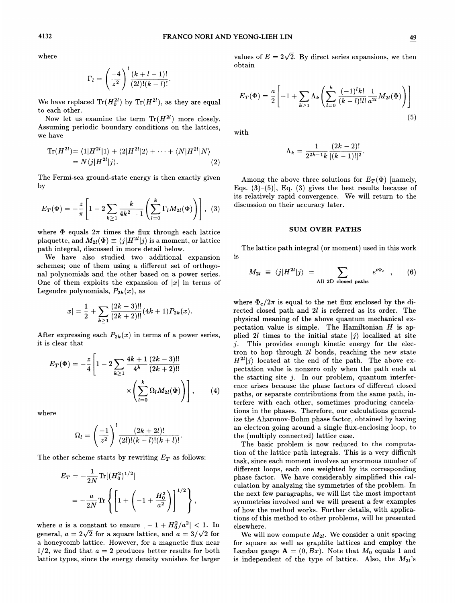$$
\Gamma_l = \left(\frac{-4}{z^2}\right)^l \frac{(k+l-1)!}{(2l)!(k-l)!}
$$

We have replaced  $\text{Tr}(H_0^{2l})$  by  $\text{Tr}(H^{2l})$ , as they are equal to each other.

Now let us examine the term  $\text{Tr}(H^{2l})$  more closely. Assuming periodic boundary conditions on the lattices, we have

$$
\mathrm{Tr}(H^{2l}) = \langle 1|H^{2l}|1\rangle + \langle 2|H^{2l}|2\rangle + \cdots + \langle N|H^{2l}|N\rangle
$$
  
=  $N\langle j|H^{2l}|j\rangle.$  (2)

The Fermi-sea ground-state energy is then exactly given by

$$
E_T(\Phi) = -\frac{z}{\pi} \left[ 1 - 2 \sum_{k \ge 1} \frac{k}{4k^2 - 1} \left( \sum_{l=0}^k \Gamma_l M_{2l}(\Phi) \right) \right], \quad (3)
$$

where  $\Phi$  equals  $2\pi$  times the flux through each lattice plaquette, and  $M_{2l}(\Phi) \equiv \langle j | H^{2l} | j \rangle$  is a moment, or lattice path integral, discussed in more detail below.

We have also studied two additional expansion schemes; one of them using a different set of orthogonal polynomials and the other based on a power series. One of them exploits the expansion of  $|x|$  in terms of Legendre polynomials,  $P_{2k}(x)$ , as

$$
|x|=\frac{1}{2}+\sum_{k\geq 1}\frac{(2k-3)!!}{(2k+2)!!}(4k+1)P_{2k}(x).
$$

After expressing each  $P_{2k}(x)$  in terms of a power series, it is clear that

$$
E_T(\Phi) = -\frac{z}{4} \left[ 1 - 2 \sum_{k \ge 1} \frac{4k+1}{4^k} \frac{(2k-3)!!}{(2k+2)!!} \times \left( \sum_{l=0}^k \Omega_l M_{2l}(\Phi) \right) \right], \qquad (4)
$$

where

$$
\Omega_l = \left(\frac{-1}{z^2}\right)^l \frac{(2k+2l)!}{(2l)!(k-l)!(k+l)!}.
$$

The other scheme starts by rewriting  $E_T$  as follows:

$$
E_T = -\frac{1}{2N} \text{Tr}[(H_0^2)^{1/2}]
$$
  
=  $-\frac{a}{2N} \text{Tr} \left\{ \left[ 1 + \left( -1 + \frac{H_0^2}{a^2} \right) \right]^{1/2} \right\},$ 

where a is a constant to ensure  $|-1 + H_0^2/a^2| < 1$ . In general,  $a = 2\sqrt{2}$  for a square lattice, and  $a = 3/\sqrt{2}$  for a honeycomb lattice. However, for a magnetic fiux near  $1/2$ , we find that  $a = 2$  produces better results for both lattice types, since the energy density vanishes for larger

where values of  $E = 2\sqrt{2}$ . By direct series expansions, we then obtain

$$
E_T(\Phi) = \frac{a}{2} \left[ -1 + \sum_{k \ge 1} \Lambda_k \left( \sum_{l=0}^k \frac{(-1)^l k!}{(k-l)! l!} \frac{1}{a^{2l}} M_{2l}(\Phi) \right) \right]
$$
(5)

with

$$
\Lambda_k = \frac{1}{2^{2k-1}k} \frac{(2k-2)!}{[(k-1)!]^2}.
$$

Among the above three solutions for  $E_T(\Phi)$  [namely, Eqs.  $(3)-(5)$ ], Eq.  $(3)$  gives the best results because of its relatively rapid convergence. We will return to the discussion on their accuracy later.

#### SUM OVER PATHS

is The lattice path integral (or moment) used in this work

$$
M_{2l} \equiv \langle j|H^{2l}|j\rangle = \sum_{\text{All 2D closed paths}} e^{i\Phi_c} , \qquad (6)
$$

where  $\Phi_c/2\pi$  is equal to the net flux enclosed by the directed closed path and 2l is referred as its order. The physical meaning of the above quantum mechanical expectation value is simple. The Hamiltonian  $H$  is applied 2l times to the initial state  $|j\rangle$  localized at site j. This provides enough kinetic energy for the elec-This provides enough kinetic energy for the electron to hop through 2l bonds, reaching the new state  $H^{2l}|j\rangle$  located at the end of the path. The above expectation value is nonzero only when the path ends at the starting site  $j$ . In our problem, quantum interference arises because the phase factors of different closed paths, or separate contributions from the same path, interfere with each other, sometimes producing cancelations in the phases. Therefore, our calculations generalize the Aharonov-Bohm phase factor, obtained by having an electron going around a single fiux-enclosing loop, to the (multiply connected) lattice case.

The basic problem is now reduced to the computation of the lattice path integrals. This is a very difficult task, since each moment involves an enormous number of diferent loops, each one weighted by its corresponding phase factor. We have considerably simplified this calculation by analyzing the symmetries of the problem. In the next few paragraphs, we will list the most important symmetries involved and we will present a few examples of how the method works. Further details, with applications of this method to other problems, will be presented elsewhere.

We will now compute  $M_{2l}$ . We consider a unit spacing for square as weH as graphite lattices and employ the Landau gauge  $\mathbf{A} = (0, Bx)$ . Note that  $M_0$  equals 1 and is independent of the type of lattice. Also, the  $M_{2l}$ 's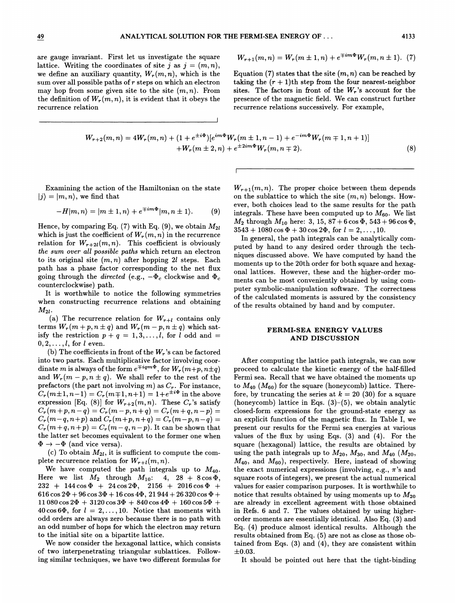are gauge invariant. First let us investigate the square lattice. Writing the coordinates of site j as  $j = (m, n)$ , we define an auxiliary quantity,  $W_r(m, n)$ , which is the sum over all possible paths of  $r$  steps on which an electron may hop from some given site to the site  $(m, n)$ . From the definition of  $W_r(m, n)$ , it is evident that it obeys the recurrence relation

$$
W_{r+1}(m,n) = W_r(m \pm 1, n) + e^{\mp im\Phi} W_r(m, n \pm 1). \tag{7}
$$

Equation (7) states that the site  $(m, n)$  can be reached by taking the  $(r + 1)$ th step from the four nearest-neighbor sites. The factors in front of the  $W_r$ 's account for the presence of the magnetic field. We can construct further recurrence relations successively. For example,

$$
W_{r+2}(m,n) = 4W_r(m,n) + (1 + e^{\pm i\Phi})[e^{im\Phi}W_r(m \pm 1, n-1) + e^{-im\Phi}W_r(m \mp 1, n+1)]
$$
  
+W\_r(m \pm 2, n) + e^{\pm 2im\Phi}W\_r(m,n \mp 2). (8)

Examining the action of the Hamiltonian on the state  $|j\rangle = |m, n\rangle$ , we find that

$$
-H|m,n\rangle = |m \pm 1,n\rangle + e^{\mp im\Phi}|m,n \pm 1\rangle.
$$
 (9)

Hence, by comparing Eq. (7) with Eq. (9), we obtain  $M_{2l}$ which is just the coefficient of  $W_r(m, n)$  in the recurrence relation for  $W_{r+2l}(m, n)$ . This coefficient is obviously the sum over all possible paths which return an electron to its original site  $(m, n)$  after hopping 2l steps. Each path has a phase factor corresponding to the net flux going through the *directed* (e.g.,  $-\Phi_c$  clockwise and  $\Phi_c$ counterclockwise) path.

It is worthwhile to notice the following symmetries when constructing recurrence relations and obtaining  $M_{2l}$ .

(a) The recurrence relation for  $W_{r+l}$  contains only terms  $W_r(m + p, n \pm q)$  and  $W_r(m - p, n \pm q)$  which satisfy the restriction  $p + q = 1, 3, \ldots, l$ , for l odd and =  $0, 2, \ldots, l$ , for l even.

(b) The coefficients in front of the  $W_r$ 's can be factored into two parts. Each multiplicative factor involving coordinate m is always of the form  $e^{\mp i q m \Phi}$ , for  $W_r(m+p, n\pm q)$ and  $W_r(m - p, n \pm q)$ . We shall refer to the rest of the prefactors (the part not involving  $m$ ) as  $C_r$ . For instance,  $C_r(m\pm 1,n-1) = C_r(m\mp 1,n+1) = 1+e^{\pm i\Phi}$  in the above expression [Eq. (8)] for  $W_{r+2}(m, n)$ . These  $C_r$ 's satisfy  $C_r(m+p, n-q) = C_r(m-p, n+q) = C_r(m+q, n-p) =$  $C_r(m-q, n+p)$  and  $C_r(m+p, n+q) = C_r(m-p, n-q)$  $C_r(m+q,n+p) = C_r(m-q, n-p)$ . It can be shown that the latter set becomes equivalent to the former one when  $\Phi \rightarrow -\Phi$  (and vice versa).

(c) To obtain  $M_{2l}$ , it is sufficient to compute the complete recurrence relation for  $W_{r+l}(m, n)$ .

We have computed the path integrals up to  $M_{40}$ . Here we list  $M_2$  through  $M_{10}$ : 4, 28 + 8 cos  $\Phi$ ,  $232 + 144\cos\Phi + 24\cos2\Phi$ ,  $2156 + 2016\cos\Phi +$ 616 cos  $2\Phi + 96$  cos  $3\Phi + 16$  cos  $4\Phi$ ,  $21$   $944 + 26$   $320$  cos  $\Phi$  +  $11080\cos2\Phi + 3120\cos3\Phi + 840\cos4\Phi + 160\cos5\Phi +$ 40 cos 6 $\Phi$ , for  $l = 2, ..., 10$ . Notice that moments with odd orders are always zero because there is no path with an odd number of hops for which the electron may return to the initial site on a bipartite lattice.

We now consider the hexagonal lattice, which consists of two interpenetrating triangular sublattices. Following similar techniques, we have two different formulas for

 $W_{r+1}(m, n)$ . The proper choice between them depends on the sublattice to which the site  $(m, n)$  belongs. However, both choices lead to the same results for the path integrals. These have been computed up to  $M_{60}$ . We list  $M_2$  through  $M_{10}$  here: 3, 15, 87 + 6 cos  $\Phi$ , 543 + 96 cos  $\Phi$ ,  $3543 + 1080 \cos \Phi + 30 \cos 2\Phi$ , for  $l = 2, ..., 10$ .

In general, the path integrals can be analytically computed by hand to any desired order through the techniques discussed above. We have computed by hand the moments up to the 20th order for both square and hexagonal lattices. However, these and the higher-order moments can be most conveniently obtained by using computer symbolic-manipulation software. The correctness of the calculated moments is assured by the consistency of the results obtained by hand and by computer.

### FERMI-SEA ENERGY VALUES AND DISCUSSION

 $\begin{array}{ccc} \mathrm{fy} & \mathrm{(}h \mathrm{)} & \mathrm{c} \mathrm{h} \mathrm{c} \mathrm{d} \mathrm{c} \mathrm{d} \mathrm{c} \mathrm{d} \mathrm{c} \mathrm{d} \mathrm{c} \mathrm{d} \mathrm{c} \mathrm{d} \mathrm{c} \mathrm{d} \mathrm{c} \mathrm{d} \mathrm{c} \mathrm{d} \mathrm{c} \mathrm{d} \mathrm{c} \mathrm{d} \mathrm{c} \mathrm{d} \mathrm{c} \mathrm{d} \mathrm{c} \mathrm{d} \mathrm{c} \mathrm{d} \mathrm{c} \mathrm{d} \mathrm{c} \mathrm{d} \mathrm{c} \mathrm{d} \mathrm{c} \mathrm$ After computing the lattice path integrals, we can now proceed to calculate the kinetic energy of the half-filled Fermi sea. Recall that we have obtained the moments up to  $M_{40}$  ( $M_{60}$ ) for the square (honeycomb) lattice. Therefore, by truncating the series at  $k = 20$  (30) for a square (honeycomb) lattice in Eqs. (3)—(5), we obtain analytic closed-form expressions for the ground-state energy as an explicit function of the magnetic flux. In Table I, we present our results for the Fermi sea energies at various values of the flux by using Eqs. (3) and (4). For the square (hexagonal) lattice, the results are obtained by using the path integrals up to  $M_{20}$ ,  $M_{30}$ , and  $M_{40}$  ( $M_{20}$ ,  $M_{40}$ , and  $M_{60}$ ), respectively. Here, instead of showing the exact numerical expressions (involving, e.g.,  $\pi$ 's and square roots of integers), we present the actual numerical values for easier comparison purposes. It is worthwhile to notice that results obtained by using moments up to  $M_{20}$ are already in excellent agreement with those obtained in Refs. 6 and 7. The values obtained by using higherorder moments are essentially identical. Also Eq. (3) and Eq. (4) produce almost identical results. Although the results obtained from Eq. (5) are not as close as those obtained from Eqs.  $(3)$  and  $(4)$ , they are consistent within  $\pm 0.03.$ 

It should be pointed out here that the tight-binding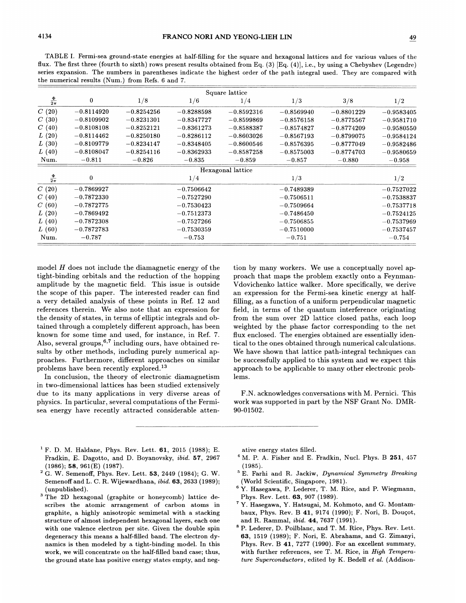TABLE I. Fermi-sea ground-state energies at half-filling for the square and hexagonal lattices and for various values of the flux. The first three (fourth to sixth) rows present results obtained from Eq. (3) [Eq. (4)], i.e., by using a Chebyshev (Legendre) series expansion. The numbers in parentheses indicate the highest order of the path integral used. They are compared with the numerical results (Num.) from Refs. 6 and 7.

| Square lattice    |              |              |              |                   |                       |              |              |
|-------------------|--------------|--------------|--------------|-------------------|-----------------------|--------------|--------------|
| $rac{\Phi}{2\pi}$ | $\bf{0}$     | 1/8          | 1/6          | 1/4               | 1/3                   | 3/8          | 1/2          |
| C(20)             | $-0.8114920$ | $-0.8254256$ | $-0.8288598$ | $-0.8592316$      | $-0.8569940$          | $-0.8801229$ | $-0.9583405$ |
| C(30)             | $-0.8109902$ | $-0.8231301$ | $-0.8347727$ | $-0.8599869$      | $-0.8576158$          | $-0.8775567$ | $-0.9581710$ |
| C(40)             | $-0.8108108$ | $-0.8252121$ | $-0.8361273$ | $-0.8588387$      | $-0.8574827$          | $-0.8774209$ | $-0.9580550$ |
| L(20)             | $-0.8114462$ | $-0.8250180$ | $-0.8286112$ | $-0.8603026$      | $-0.8567193$          | $-0.8799075$ | $-0.9584124$ |
| L(30)             | $-0.8109779$ | $-0.8234147$ | $-0.8348405$ | $-0.8600546$      | $-0.8576395$          | $-0.8777049$ | $-0.9582486$ |
| L(40)             | $-0.8108047$ | $-0.8254116$ | $-0.8362933$ | $-0.8587258$      | $-0.8575003$          | $-0.8774703$ | $-0.9580659$ |
| Num.              | $-0.811$     | $-0.826$     | $-0.835$     | $-0.859$          | $-0.857$              | $-0.880$     | $-0.958$     |
|                   |              |              |              | Hexagonal lattice |                       |              |              |
| $rac{\Phi}{2\pi}$ | $\bf{0}$     |              | 1/4          |                   | 1/3                   |              | 1/2          |
| C(20)             | $-0.7869927$ |              | $-0.7506642$ |                   | $-0.7489389$          |              | $-0.7527022$ |
| C(40)             | $-0.7872330$ |              | $-0.7527290$ |                   | $-0.7506511$          |              | $-0.7538837$ |
| C(60)             | $-0.7872775$ |              | $-0.7530423$ |                   | $-0.7509664$          |              | $-0.7537718$ |
| L(20)             | $-0.7869492$ |              | $-0.7512373$ |                   | $-0.7486450$          |              | $-0.7524125$ |
| L(40)             | $-0.7872308$ |              | $-0.7527266$ |                   | $-0.7506855$          |              | $-0.7537969$ |
| L(60)             | $-0.7872783$ |              | $-0.7530359$ |                   | $-0.7510000$          |              | $-0.7537457$ |
| Num.              | $-0.787$     |              | $-0.753$     |                   | $\boldsymbol{-0.751}$ |              | $-0.754$     |

model  $H$  does not include the diamagnetic energy of the tight-binding orbitals and the reduction of the hopping amplitude by the magnetic field. This issue is outside the scope of this paper. The interested reader can find a very detailed analysis of these points in Ref. 12 and references therein. We also note that an expression for the density of states, in terms of elliptic integrals and obtained through a completely different approach, has been known for some time and used, for instance, in Ref. 7. Also, several groups, $6,7$  including ours, have obtained results by other methods, including purely numerical approaches. Furthermore, different approaches on similar problems have been recently explored.

In conclusion, the theory of electronic diamagnetism in two-dimensional lattices has been studied extensively due to its many applications in very diverse areas of physics. In particular, several computations of the Fermisea energy have recently attracted considerable attention by many workers. We use a conceptually novel approach that maps the problem exactly onto a Feynman-Vdovichenko lattice walker. More specifically, we derive an expression for the Fermi-sea kinetic energy at halffilling, as a function of a uniform perpendicular magnetic field, in terms of the quantum interference originating from the sum over 2D lattice closed paths, each loop weighted by the phase factor corresponding to the net flux enclosed. The energies obtained are essentially identical to the ones obtained through numerical calculations. We have shown that lattice path-integral techniques can be successfully applied to this system and we expect this approach to be applicable to many other electronic problems.

F.N. acknowledges conversations with M. Pernici. This work was supported in part by the NSF Grant No. DMR-90-01502.

- <sup>1</sup> F. D. M. Haldane, Phys. Rev. Lett.  $61$ , 2015 (1988); E. Fradkin, E. Dagotto, and D. Boyanovsky, *ibid.* 57, 2967 (1986); 58, 961(E) (1987).
- $2^{2}$  G. W. Semenoff, Phys. Rev. Lett. 53, 2449 (1984); G. W. Semenoff and L. C. R. Wijewardhana, ibid. 63, 2633 (1989); (unpublished) .
- <sup>3</sup> The 2D hexagonal (graphite or honeycomb) lattice describes the atomic arrangement of carbon atoms in graphite, a highly anisotropic semimetal with a stacking structure of almost independent hexagonal layers, each one with one valence electron per site. Given the double spin degeneracy this means a half-filled band. The electron dynamics is then modeled by a tight-binding model. In this work, we will concentrate on the half-filled band case; thus, the ground state has positive energy states empty, and neg-

ative energy states filled.

- <sup>4</sup> M. P. A. Fisher and E. Fradkin, Nucl. Phys. B 251, 457 (1985).
- <sup>5</sup> E. Farhi and R. Jackiw, Dynamical Symmetry Breaking (World Scientific, Singapore, 1981).
- <sup>6</sup> Y. Hasegawa, P. Lederer, T. M. Rice, and P. Wiegmann, Phys. Rev. Lett. 63, 907 (1989).
- Y. Hasegawa, Y. Hatsugai, M. Kohmoto, and G. Montambaux, Phys. Rev. B 41, 9174 (1990); F. Nori, B. Douqot, and R. Rammal, ibid. 44, 7637 (1991).
- <sup>8</sup> P. Lederer, D. Poilblanc, and T. M. Rice, Phys. Rev. Lett. 63, 1519 (1989); F. Nori, E. Abrahams, and G. Zimanyi, Phys. Rev. B 41, 7277 (1990). For an excellent summary, with further references, see T. M. Rice, in High Temperature Superconductors, edited by K. Bedell et al. (Addison-